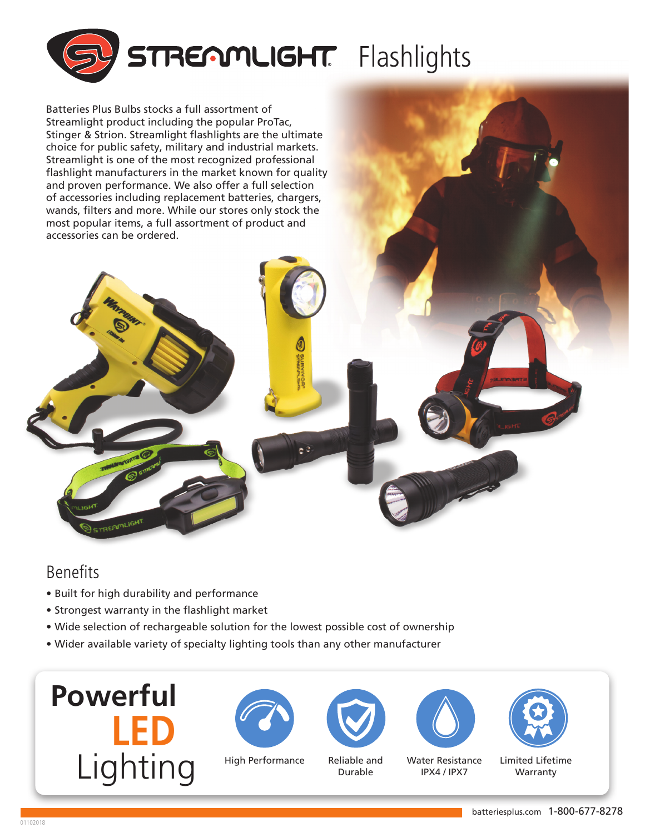

Batteries Plus Bulbs stocks a full assortment of Streamlight product including the popular ProTac, Stinger & Strion. Streamlight flashlights are the ultimate choice for public safety, military and industrial markets. Streamlight is one of the most recognized professional flashlight manufacturers in the market known for quality and proven performance. We also offer a full selection of accessories including replacement batteries, chargers, wands, filters and more. While our stores only stock the most popular items, a full assortment of product and accessories can be ordered.

## Benefits

**TREASON** 

- Built for high durability and performance
- Strongest warranty in the flashlight market
- Wide selection of rechargeable solution for the lowest possible cost of ownership
- Wider available variety of specialty lighting tools than any other manufacturer









Reliable and Durable





| Water Resistance |             |  |
|------------------|-------------|--|
|                  | IPX4 / IPX7 |  |

Limited Lifetime Warranty